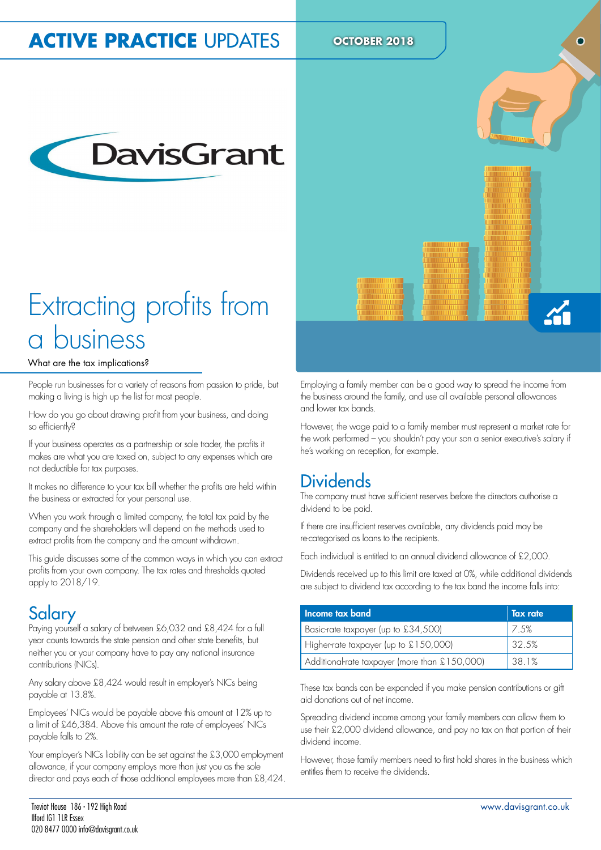## **ACTIVE PRACTICE UPDATES** OCTOBER 2018



## Extracting profits from a business

#### What are the tax implications?

People run businesses for a variety of reasons from passion to pride, but making a living is high up the list for most people.

How do you go about drawing profit from your business, and doing so efficiently?

If your business operates as a partnership or sole trader, the profits it makes are what you are taxed on, subject to any expenses which are not deductible for tax purposes.

It makes no difference to your tax bill whether the profits are held within the business or extracted for your personal use.

When you work through a limited company, the total tax paid by the company and the shareholders will depend on the methods used to extract profits from the company and the amount withdrawn.

This guide discusses some of the common ways in which you can extract profits from your own company. The tax rates and thresholds quoted apply to 2018/19.

#### Salary

Paying yourself a salary of between £6,032 and £8,424 for a full year counts towards the state pension and other state benefits, but neither you or your company have to pay any national insurance contributions (NICs).

Any salary above £8,424 would result in employer's NICs being payable at 13.8%.

Employees' NICs would be payable above this amount at 12% up to a limit of £46,384. Above this amount the rate of employees' NICs payable falls to 2%.

Your employer's NICs liability can be set against the £3,000 employment allowance, if your company employs more than just you as the sole director and pays each of those additional employees more than £8,424.



Employing a family member can be a good way to spread the income from the business around the family, and use all available personal allowances and lower tax bands.

However, the wage paid to a family member must represent a market rate for the work performed – you shouldn't pay your son a senior executive's salary if he's working on reception, for example.

#### **Dividends**

The company must have suficient reserves before the directors authorise a dividend to be paid.

If there are insuficient reserves available, any dividends paid may be re-categorised as loans to the recipients.

Each individual is entitled to an annual dividend allowance of £2,000.

Dividends received up to this limit are taxed at 0%, while additional dividends are subject to dividend tax according to the tax band the income falls into:

| Income tax band                               | Tax rate |
|-----------------------------------------------|----------|
| Basic-rate taxpayer (up to £34,500)           | 17.5%    |
| Higher-rate taxpayer (up to $£150,000$ )      | 32.5%    |
| Additional-rate taxpayer (more than £150,000) | 38 1%    |

These tax bands can be expanded if you make pension contributions or gift aid donations out of net income.

Spreading dividend income among your family members can allow them to use their £2,000 dividend allowance, and pay no tax on that portion of their dividend income.

However, those family members need to first hold shares in the business which entitles them to receive the dividends.